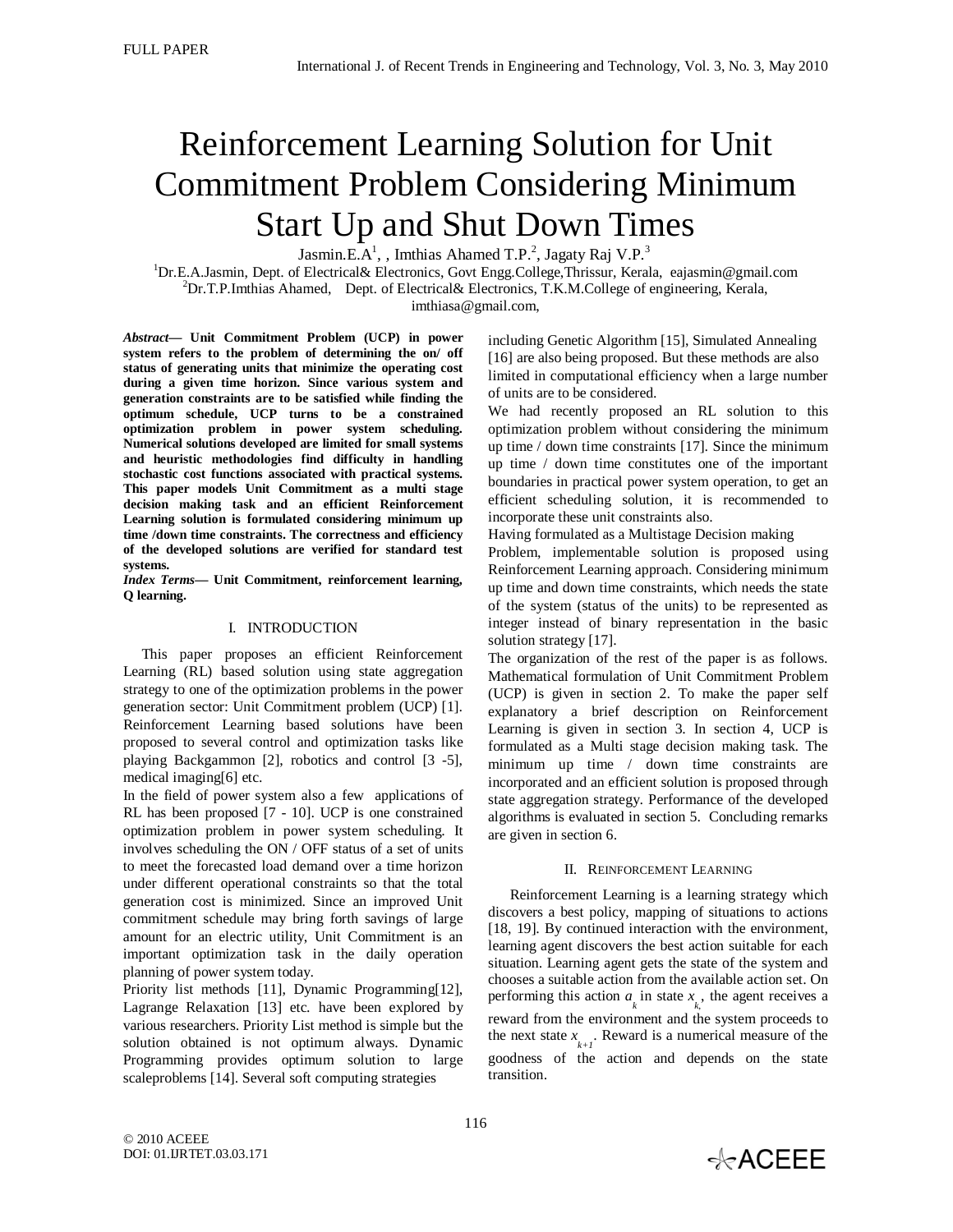# Reinforcement Learning Solution for Unit Commitment Problem Considering Minimum Start Up and Shut Down Times

Jasmin.E.A<sup>1</sup>, , Imthias Ahamed T.P.<sup>2</sup>, Jagaty Raj V.P.<sup>3</sup>

<sup>1</sup>Dr.E.A.Jasmin, Dept. of Electrical& Electronics, Govt Engg.College,Thrissur, Kerala, eajasmin@gmail.com  ${}^{2}Dr.T.P.$ Imthias Ahamed, Dept. of Electrical & Electronics, T.K.M.College of engineering, Kerala, imthiasa@gmail.com,

*Abstract***— Unit Commitment Problem (UCP) in power system refers to the problem of determining the on/ off status of generating units that minimize the operating cost during a given time horizon. Since various system and generation constraints are to be satisfied while finding the optimum schedule, UCP turns to be a constrained optimization problem in power system scheduling. Numerical solutions developed are limited for small systems and heuristic methodologies find difficulty in handling stochastic cost functions associated with practical systems. This paper models Unit Commitment as a multi stage decision making task and an efficient Reinforcement Learning solution is formulated considering minimum up time /down time constraints. The correctness and efficiency of the developed solutions are verified for standard test systems.**

*Index Terms***— Unit Commitment, reinforcement learning, Q learning.**

## I. INTRODUCTION

This paper proposes an efficient Reinforcement Learning (RL) based solution using state aggregation strategy to one of the optimization problems in the power generation sector: Unit Commitment problem (UCP) [1]. Reinforcement Learning based solutions have been proposed to several control and optimization tasks like playing Backgammon [2], robotics and control [3 -5], medical imaging[6] etc.

In the field of power system also a few applications of RL has been proposed [7 - 10]. UCP is one constrained optimization problem in power system scheduling. It involves scheduling the ON / OFF status of a set of units to meet the forecasted load demand over a time horizon under different operational constraints so that the total generation cost is minimized. Since an improved Unit commitment schedule may bring forth savings of large amount for an electric utility, Unit Commitment is an important optimization task in the daily operation planning of power system today.

Priority list methods [11], Dynamic Programming[12], Lagrange Relaxation [13] etc. have been explored by various researchers. Priority List method is simple but the solution obtained is not optimum always. Dynamic Programming provides optimum solution to large scaleproblems [14]. Several soft computing strategies

including Genetic Algorithm [15], Simulated Annealing [16] are also being proposed. But these methods are also limited in computational efficiency when a large number of units are to be considered.

We had recently proposed an RL solution to this optimization problem without considering the minimum up time / down time constraints [17]. Since the minimum up time / down time constitutes one of the important boundaries in practical power system operation, to get an efficient scheduling solution, it is recommended to incorporate these unit constraints also.

Having formulated as a Multistage Decision making

Problem, implementable solution is proposed using Reinforcement Learning approach. Considering minimum up time and down time constraints, which needs the state of the system (status of the units) to be represented as integer instead of binary representation in the basic solution strategy [17].

The organization of the rest of the paper is as follows. Mathematical formulation of Unit Commitment Problem (UCP) is given in section 2. To make the paper self explanatory a brief description on Reinforcement Learning is given in section 3. In section 4, UCP is formulated as a Multi stage decision making task. The minimum up time / down time constraints are incorporated and an efficient solution is proposed through state aggregation strategy. Performance of the developed algorithms is evaluated in section 5. Concluding remarks are given in section 6.

## II. REINFORCEMENT LEARNING

 Reinforcement Learning is a learning strategy which discovers a best policy, mapping of situations to actions [18, 19]. By continued interaction with the environment, learning agent discovers the best action suitable for each situation. Learning agent gets the state of the system and chooses a suitable action from the available action set. On performing this action  $a_k$  in state  $x_k$ , the agent receives a reward from the environment and the system proceeds to the next state  $x_{k+1}$ . Reward is a numerical measure of the goodness of the action and depends on the state transition.

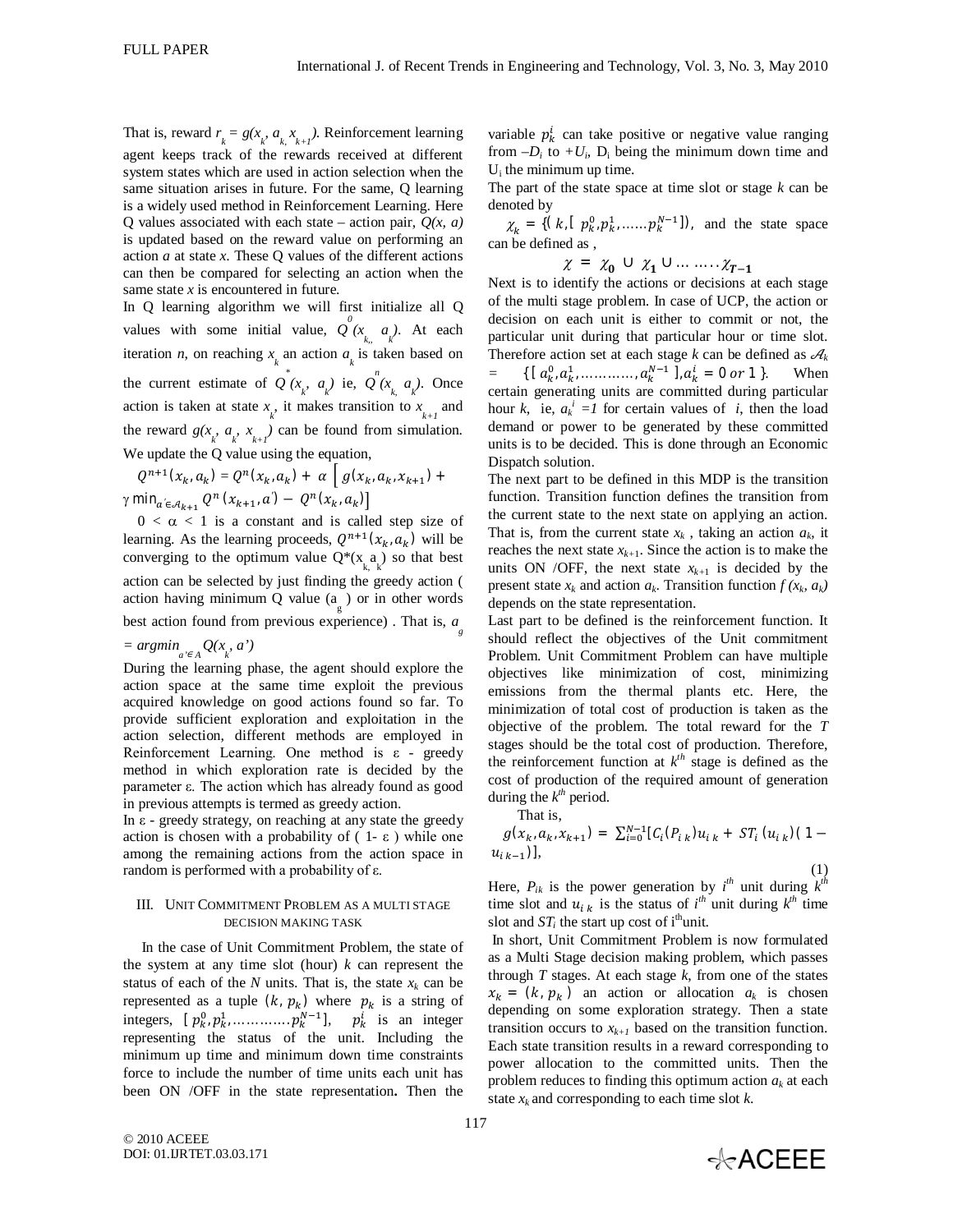That is, reward  $r_k = g(x_k, a_k, x_{k+1})$ . Reinforcement learning agent keeps track of the rewards received at different system states which are used in action selection when the same situation arises in future. For the same, Q learning is a widely used method in Reinforcement Learning. Here Q values associated with each state – action pair,  $Q(x, a)$ is updated based on the reward value on performing an action *a* at state *x*. These Q values of the different actions can then be compared for selecting an action when the same state *x* is encountered in future.

In Q learning algorithm we will first initialize all Q values with some initial value,  $Q^{0}(x_{k_{n}} \mid a_{k})$ . At each iteration *n*, on reaching  $x_k$  an action  $a_k$  is taken based on the current estimate of  $Q^*(x_k, a_k)$  ie,  $Q^*(x_k, a_k)$ . Once action is taken at state  $x_k$ , it makes transition to  $x_{k+1}$  and the reward  $g(x_k, a_k, x_{k+1})$  can be found from simulation. We update the Q value using the equation,

$$
Q^{n+1}(x_k, a_k) = Q^n(x_k, a_k) + \alpha \left[ g(x_k, a_k, x_{k+1}) + \gamma \min_{a' \in \mathcal{A}_{k+1}} Q^n(x_{k+1}, a') - Q^n(x_k, a_k) \right]
$$

 $0 < \alpha < 1$  is a constant and is called step size of learning. As the learning proceeds,  $Q^{n+1}(x_k, a_k)$  will be converging to the optimum value  $Q^*(x_a)$  so that best action can be selected by just finding the greedy action ( action having minimum Q value  $(a_{g})$  or in other words best action found from previous experience) . That is, *a g*   $= argmin_{a' \in A} Q(x_k, a')$ 

During the learning phase, the agent should explore the action space at the same time exploit the previous acquired knowledge on good actions found so far. To provide sufficient exploration and exploitation in the action selection, different methods are employed in Reinforcement Learning. One method is  $\varepsilon$  - greedy method in which exploration rate is decided by the parameter ε. The action which has already found as good in previous attempts is termed as greedy action.

In  $ε$  - greedy strategy, on reaching at any state the greedy action is chosen with a probability of  $(1 - \varepsilon)$  while one among the remaining actions from the action space in random is performed with a probability of ε.

#### III. UNIT COMMITMENT PROBLEM AS A MULTI STAGE DECISION MAKING TASK

In the case of Unit Commitment Problem, the state of the system at any time slot (hour)  $k$  can represent the status of each of the  $N$  units. That is, the state  $x_k$  can be represented as a tuple  $(k, p_k)$  where  $p_k$  is a string of integers,  $[p_k^0, p_{k}^1, \dots, \dots, p_k^{N-1}],$   $p_k^i$  is an integer representing the status of the unit. Including the minimum up time and minimum down time constraints force to include the number of time units each unit has been ON /OFF in the state representation**.** Then the

variable  $p_k^i$  can take positive or negative value ranging from  $-D_i$  to  $+U_i$ ,  $D_i$  being the minimum down time and  $U_i$  the minimum up time.

The part of the state space at time slot or stage *k* can be denoted by

 $\chi_k = \{ (k, [p_k^0, p_k^1, \dots, p_k^{N-1}]) \}$ , and the state space can be defined as ,

 $\chi = \chi_0 \cup \chi_1 \cup \ldots \ldots \chi_{T-1}$ 

Next is to identify the actions or decisions at each stage of the multi stage problem. In case of UCP, the action or decision on each unit is either to commit or not, the particular unit during that particular hour or time slot. Therefore action set at each stage  $k$  can be defined as  $\mathcal{A}_k$  $= \{ [\,a_k^0, a_k^1, \ldots, a_k^{N-1} \,], a_k^i = 0 \text{ or } 1 \,\}.$  When certain generating units are committed during particular hour *k*, ie,  $a_k^i =1$  for certain values of *i*, then the load demand or power to be generated by these committed units is to be decided. This is done through an Economic Dispatch solution.

The next part to be defined in this MDP is the transition function. Transition function defines the transition from the current state to the next state on applying an action. That is, from the current state  $x_k$ , taking an action  $a_k$ , it reaches the next state  $x_{k+1}$ . Since the action is to make the units ON /OFF, the next state  $x_{k+1}$  is decided by the present state  $x_k$  and action  $a_k$ . Transition function  $f(x_k, a_k)$ depends on the state representation.

Last part to be defined is the reinforcement function. It should reflect the objectives of the Unit commitment Problem. Unit Commitment Problem can have multiple objectives like minimization of cost, minimizing emissions from the thermal plants etc. Here, the minimization of total cost of production is taken as the objective of the problem. The total reward for the *T*  stages should be the total cost of production. Therefore, the reinforcement function at  $k^{th}$  stage is defined as the cost of production of the required amount of generation during the  $k^{th}$  period.

That is,

$$
g(x_k, a_k, x_{k+1}) = \sum_{i=0}^{N-1} [C_i(P_{ik})u_{ik} + ST_i(u_{ik})(1-u_{ik-1})],
$$
\n(1)

Here,  $P_{ik}$  is the power generation by  $i^{th}$  unit during  $k^{th}$ time slot and  $u_{i,k}$  is the status of  $i^{th}$  unit during  $k^{th}$  time slot and  $ST_i$  the start up cost of i<sup>th</sup>unit.

In short, Unit Commitment Problem is now formulated as a Multi Stage decision making problem, which passes through *T* stages. At each stage *k*, from one of the states  $x_k = (k, p_k)$  an action or allocation  $a_k$  is chosen depending on some exploration strategy. Then a state transition occurs to  $x_{k+1}$  based on the transition function. Each state transition results in a reward corresponding to power allocation to the committed units. Then the problem reduces to finding this optimum action  $a_k$  at each state  $x_k$  and corresponding to each time slot  $k$ .

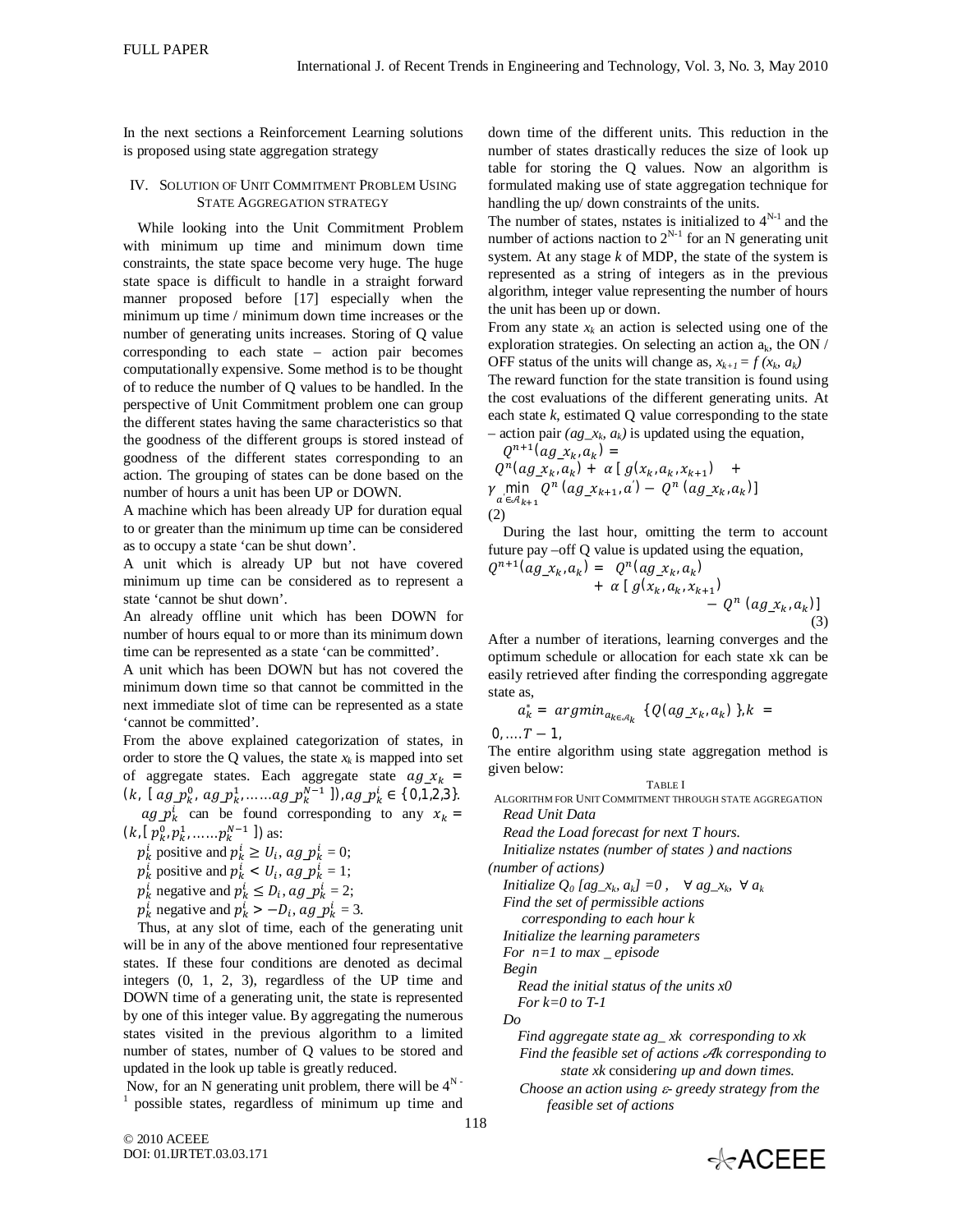In the next sections a Reinforcement Learning solutions is proposed using state aggregation strategy

### IV. SOLUTION OF UNIT COMMITMENT PROBLEM USING STATE AGGREGATION STRATEGY

While looking into the Unit Commitment Problem with minimum up time and minimum down time constraints, the state space become very huge. The huge state space is difficult to handle in a straight forward manner proposed before [17] especially when the minimum up time / minimum down time increases or the number of generating units increases. Storing of Q value corresponding to each state – action pair becomes computationally expensive. Some method is to be thought of to reduce the number of Q values to be handled. In the perspective of Unit Commitment problem one can group the different states having the same characteristics so that the goodness of the different groups is stored instead of goodness of the different states corresponding to an action. The grouping of states can be done based on the number of hours a unit has been UP or DOWN.

A machine which has been already UP for duration equal to or greater than the minimum up time can be considered as to occupy a state 'can be shut down'.

A unit which is already UP but not have covered minimum up time can be considered as to represent a state 'cannot be shut down'.

An already offline unit which has been DOWN for number of hours equal to or more than its minimum down time can be represented as a state 'can be committed'.

A unit which has been DOWN but has not covered the minimum down time so that cannot be committed in the next immediate slot of time can be represented as a state 'cannot be committed'.

From the above explained categorization of states, in order to store the Q values, the state  $x_k$  is mapped into set of aggregate states. Each aggregate state  $ag_x x_k =$  $(k, \lceil ag_p_k^0, ag_p_k^1, \ldots, ag_p_k^{N-1} \rceil), ag_p_k^i \in \{0,1,2,3\}.$ 

 $ag_{-}p_k^i$  can be found corresponding to any  $x_k =$  $(k, [p_{k}^0, p_{k}^1, \dots, p_{k}^{N-1}])$  as:

 $p_k^i$  positive and  $p_k^i \ge U_i$ ,  $ag\_p_k^i = 0$ ;

 $p_k^i$  positive and  $p_k^i < U_i$ ,  $ag\_p_k^i = 1$ ;

 $p_k^i$  negative and  $p_k^i \leq D_i$ ,  $ag\_p_k^i = 2$ ;

 $p_k^i$  negative and  $p_k^i > -D_i$ ,  $ag\_p_k^i = 3$ .

Thus, at any slot of time, each of the generating unit will be in any of the above mentioned four representative states. If these four conditions are denoted as decimal integers (0, 1, 2, 3), regardless of the UP time and DOWN time of a generating unit, the state is represented by one of this integer value. By aggregating the numerous states visited in the previous algorithm to a limited number of states, number of Q values to be stored and updated in the look up table is greatly reduced.

Now, for an N generating unit problem, there will be  $4^N$ .  $1$  possible states, regardless of minimum up time and down time of the different units. This reduction in the number of states drastically reduces the size of look up table for storing the Q values. Now an algorithm is formulated making use of state aggregation technique for handling the up/ down constraints of the units.

The number of states, nstates is initialized to  $4^{N-1}$  and the number of actions naction to  $2^{N-1}$  for an N generating unit system. At any stage *k* of MDP, the state of the system is represented as a string of integers as in the previous algorithm, integer value representing the number of hours the unit has been up or down.

From any state  $x_k$  an action is selected using one of the exploration strategies. On selecting an action  $a_k$ , the ON / OFF status of the units will change as,  $x_{k+1} = f(x_k, a_k)$ The reward function for the state transition is found using

the cost evaluations of the different generating units. At each state *k*, estimated Q value corresponding to the state  $-$  action pair *(ag<sub>-x<sub>k</sub>*</sub>, a<sub>k</sub>) is updated using the equation,

$$
Q^{n+1}(ag_{x_k}, a_k) =
$$
  
\n
$$
Q^n(ag_{x_k}, a_k) + \alpha [g(x_k, a_k, x_{k+1}) +
$$
  
\n
$$
\gamma \min_{a' \in \mathcal{A}_{k+1}} Q^n(ag_{x_{k+1}}, a') - Q^n(ag_{x_k}, a_k)]
$$
  
\n(2)

During the last hour, omitting the term to account future pay –off Q value is updated using the equation,

$$
Q^{n+1}(ag_{\mathcal{X}_k, a_k}) = Q^n(ag_{\mathcal{X}_k, a_k}) + \alpha [g(x_k, a_k, x_{k+1}) - Q^n (ag_{\mathcal{X}_k, a_k})]
$$
  
- Q^n (ag\_{\mathcal{X}\_k, a\_k})

After a number of iterations, learning converges and the optimum schedule or allocation for each state xk can be easily retrieved after finding the corresponding aggregate state as,

$$
a_k^* = argmin_{a_{k \in \mathcal{A}_k}} \{ Q(ag_x_k, a_k) \}, k = 0, \ldots, T-1,
$$

The entire algorithm using state aggregation method is given below:

TABLE I

ALGORITHM FOR UNIT COMMITMENT THROUGH STATE AGGREGATION *Read Unit Data*

*Read the Load forecast for next T hours.*

*Initialize nstates (number of states ) and nactions (number of actions)* 

*Initialize*  $Q_0$  [ag\_x<sub>k</sub>, a<sub>k</sub>] =0,  $\forall$  ag\_x<sub>k</sub>,  $\forall$  a<sub>k</sub> *Find the set of permissible actions*

*corresponding to each hour k*

*Initialize the learning parameters* 

*For n=1 to max \_ episode*

*Begin*

*Read the initial status of the units x0 For k=0 to T-1*

*Do*

*Find aggregate state ag\_ xk corresponding to xk Find the feasible set of actions*  $AR$  *corresponding to state xk* consider*ing up and down times.*

*Choose an action using - greedy strategy from the feasible set of actions*

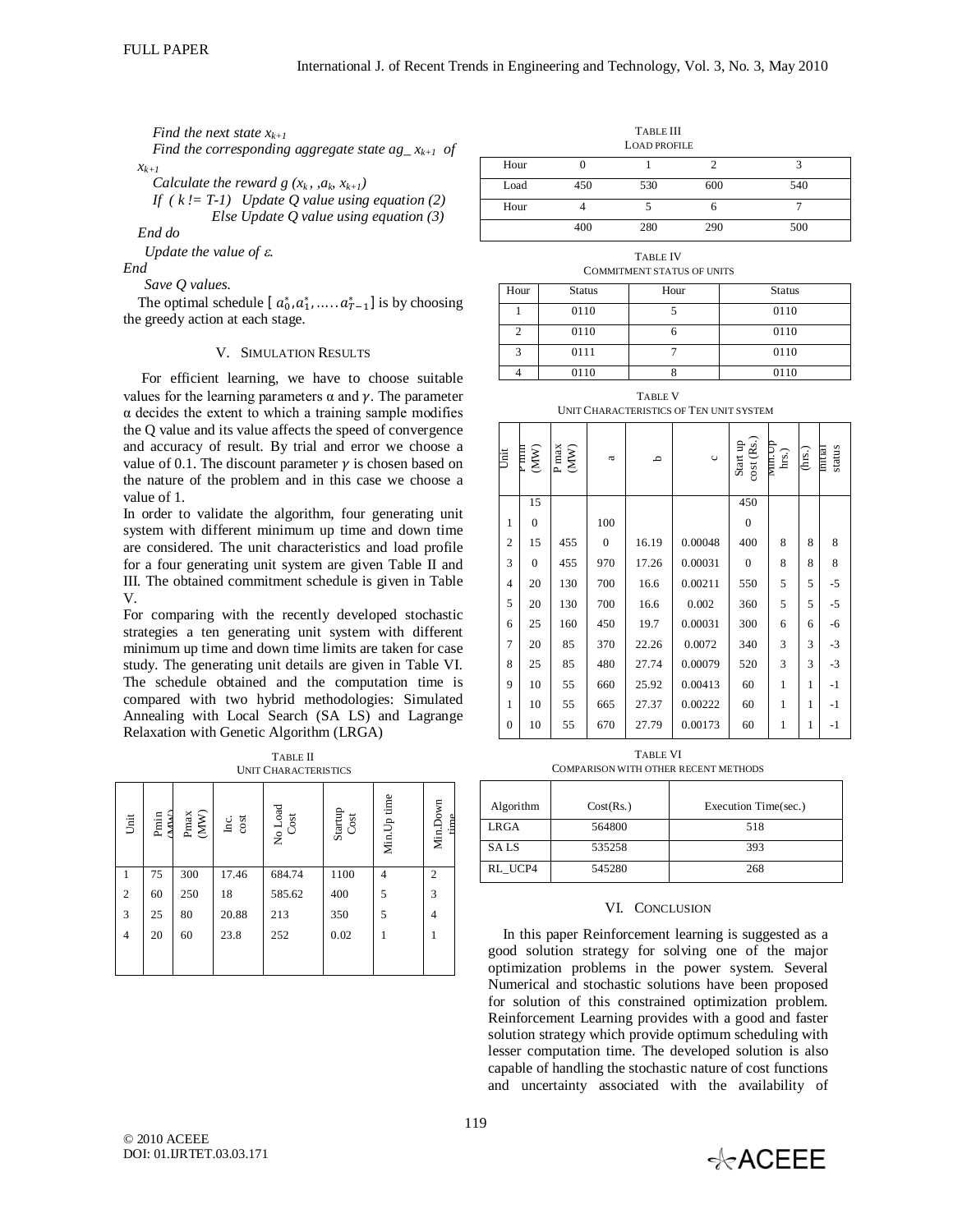*Find the next state xk+1*

*Find the corresponding aggregate state ag\_ xk+1 of xk+1*

*Calculate the reward g (* $x_k$ *, ,*  $a_k$ *,*  $x_{k+1}$ *)* 

*If ( k != T-1) Update Q value using equation (2) Else Update Q value using equation (3)*

*End do* 

*Update the value of .*

*End*

*Save Q values.*

The optimal schedule  $[a_0^*, a_1^*, \dots, a_{T-1}^*]$  is by choosing the greedy action at each stage.

#### V. SIMULATION RESULTS

For efficient learning, we have to choose suitable values for the learning parameters  $\alpha$  and  $\gamma$ . The parameter  $\alpha$  decides the extent to which a training sample modifies the Q value and its value affects the speed of convergence and accuracy of result. By trial and error we choose a value of 0.1. The discount parameter  $\gamma$  is chosen based on the nature of the problem and in this case we choose a value of 1.

In order to validate the algorithm, four generating unit system with different minimum up time and down time are considered. The unit characteristics and load profile for a four generating unit system are given Table II and III. The obtained commitment schedule is given in Table V.

For comparing with the recently developed stochastic strategies a ten generating unit system with different minimum up time and down time limits are taken for case study. The generating unit details are given in Table VI. The schedule obtained and the computation time is compared with two hybrid methodologies: Simulated Annealing with Local Search (SA LS) and Lagrange Relaxation with Genetic Algorithm (LRGA)

TABLE II UNIT CHARACTERISTICS

| Unit           | <b>MAN</b><br>$_{\rm Pmin}$ | $\frac{\text{Pmax}}{\text{MW}}$ | cost<br>Inc. | No Load<br>Cost | Startup<br>Cost | Min.Up time    | Min.Down<br>time. |
|----------------|-----------------------------|---------------------------------|--------------|-----------------|-----------------|----------------|-------------------|
| 1              | 75                          | 300                             | 17.46        | 684.74          | 1100            | $\overline{4}$ | $\overline{2}$    |
| 2              | 60                          | 250                             | 18           | 585.62          | 400             | 5              | 3                 |
| 3              | 25                          | 80                              | 20.88        | 213             | 350             | 5              | 4                 |
| $\overline{4}$ | 20                          | 60                              | 23.8         | 252             | 0.02            | ı              | 1                 |
|                |                             |                                 |              |                 |                 |                |                   |

| 1 ABLE III<br><b>LOAD PROFILE</b> |     |     |     |     |  |
|-----------------------------------|-----|-----|-----|-----|--|
| Hour                              |     |     |     |     |  |
| Load                              | 450 | 530 | 600 | 540 |  |
| Hour                              |     |     | o   |     |  |
|                                   | 400 | 280 | 290 | 500 |  |

TABLE III

TABLE IV COMMITMENT STATUS OF UNITS

| Hour | <b>Status</b> | Hour | <b>Status</b> |
|------|---------------|------|---------------|
|      | 0110          |      | 0110          |
| 2    | 0110          |      | 0110          |
| 3    | 0111          |      | 0110          |
|      | 0110          |      | 0110          |

TABLE V UNIT CHARACTERISTICS OF TEN UNIT SYSTEM

| jii            | rmm<br>$(\mathbf{M}\mathbf{W})$ | $\frac{\text{P}\max}{\text{M}\text{W}}$ | $\mathfrak{a}$ | م     | $\circ$ | cost (Rs.)<br>Start up | Min.Up<br>hrs.) | (hrs.) | status<br>Initial |
|----------------|---------------------------------|-----------------------------------------|----------------|-------|---------|------------------------|-----------------|--------|-------------------|
|                | 15                              |                                         |                |       |         | 450                    |                 |        |                   |
| 1              | $\mathbf{0}$                    |                                         | 100            |       |         | $\boldsymbol{0}$       |                 |        |                   |
| $\overline{c}$ | 15                              | 455                                     | $\overline{0}$ | 16.19 | 0.00048 | 400                    | 8               | 8      | 8                 |
| 3              | $\overline{0}$                  | 455                                     | 970            | 17.26 | 0.00031 | $\boldsymbol{0}$       | 8               | 8      | 8                 |
| $\overline{4}$ | 20                              | 130                                     | 700            | 16.6  | 0.00211 | 550                    | 5               | 5      | $-5$              |
| 5              | 20                              | 130                                     | 700            | 16.6  | 0.002   | 360                    | 5               | 5      | $-5$              |
| 6              | 25                              | 160                                     | 450            | 19.7  | 0.00031 | 300                    | 6               | 6      | -6                |
| 7              | 20                              | 85                                      | 370            | 22.26 | 0.0072  | 340                    | 3               | 3      | $-3$              |
| 8              | 25                              | 85                                      | 480            | 27.74 | 0.00079 | 520                    | 3               | 3      | $-3$              |
| 9              | 10                              | 55                                      | 660            | 25.92 | 0.00413 | 60                     | $\mathbf{1}$    | 1      | $-1$              |
| 1              | 10                              | 55                                      | 665            | 27.37 | 0.00222 | 60                     | $\mathbf{1}$    | 1      | $-1$              |
| $\theta$       | 10                              | 55                                      | 670            | 27.79 | 0.00173 | 60                     | $\mathbf{1}$    | 1      | $-1$              |

TABLE VI COMPARISON WITH OTHER RECENT METHODS

| Algorithm   | Cost(Rs.) | Execution Time(sec.) |
|-------------|-----------|----------------------|
| <b>LRGA</b> | 564800    | 518                  |
| <b>SALS</b> | 535258    | 393                  |
| RL UCP4     | 545280    | 268                  |

### VI. CONCLUSION

In this paper Reinforcement learning is suggested as a good solution strategy for solving one of the major optimization problems in the power system. Several Numerical and stochastic solutions have been proposed for solution of this constrained optimization problem. Reinforcement Learning provides with a good and faster solution strategy which provide optimum scheduling with lesser computation time. The developed solution is also capable of handling the stochastic nature of cost functions and uncertainty associated with the availability of